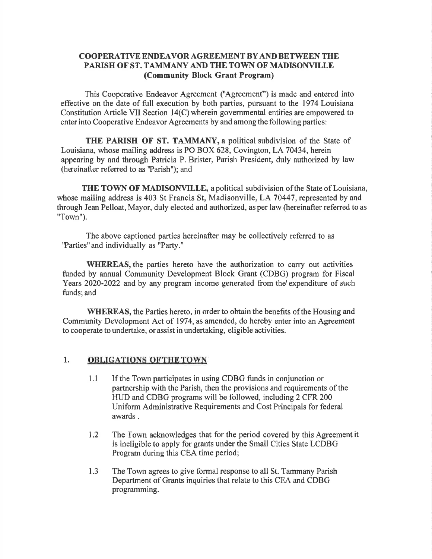### COOPERATIVE ENDEAVOR AGREEMENT BYAND BETWEEN THE PARISH OF ST. TAMMANY AND THE TOWN OF MADISONVILLE (Community Block Grant Program)

This Cooperative Endeavor Agreement ('Agreement") is made and entered into effective on the date of full execution by both parties, pursuant to the 1974 Louisiana Constitution Article VII Section l4(C) wherein governmental entities are empowered to enter into Cooperative Endeavor Agreements by and among the following parties:

THE PARISH OF ST. TAMMANY, a political subdivision of the State of Louisiana, whose mailing address is PO BOX 628, Covington, LA 70434, herein appearing by and through Patricia P. Brister, Parish President, duly authorized by law (heeinafter referred to as'Parish"); and

THE TOWN OF MADISONVILLE, apolitical subdivision ofthe State of Louisiana, whose mailing address is 403 St Francis St, Madisonville, LA 70447, represented by and through Jean Pelloat, Mayor, duly elected and authorized, as per law (hereinafter referred to as "Town").

The above captioned parties hereinafter may be collectively referred to as 'Parties" and individually as "Party."

WHEREAS, the parties hereto have the authorization to carry out activities funded by annual Community Development Block Grant (CDBG) program for Fiscal Years 2020-2022 and by any program income generated from the'expenditure of such funds; and

WHEREAS, the Parties hereto, in order to obtain the benefits of the Housing and Community Development Act of 1974, as amended, do hereby enter into an Agreement to cooperate to undertake, or assist in undertaking, eligible activities.

## 1. **OBLIGATIONS OF THE TOWN**

- 1.1 If the Town participates in using CDBG funds in conjunction or partnership with the Parish, then the provisions and requirements of the HUD and CDBG programs will be followed, including 2 CFR 200 Uniform Administrative Requirements and Cost Principals for federal awards .
- 1.2 The Town acknowledges that for the period covered by this Agreement it is ineligible to apply for grants under the Small Cities State LCDBG Program during this CEA time period;
- The Town agrees to give formal response to all St. Tammany Parish Department of Grants inquiries that relate to this CEA and CDBG programming. 1.3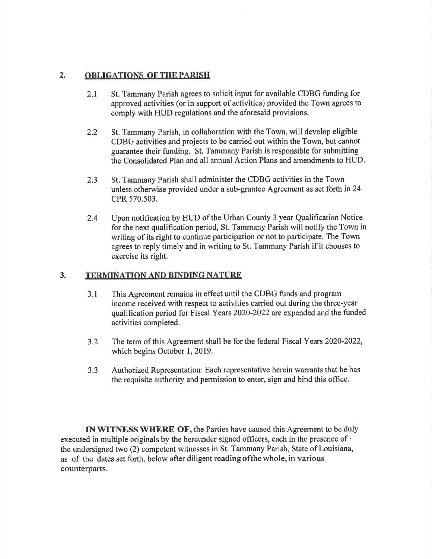### 2. OBLIGATIONS OF THE PARISH

- 2.1 St. Tammany Parish agrees to solicit input for available CDBG funding for approved activities (or in support of activities) provided the Town agrees to comply with HUD regulations and the aforesaid provisions.
- 2.2 St. Tammany Parish, in collaboration with the Town, will develop eligible CDBG activities and projects to be carried out within the Town, but cannot guarantee their funding. St. Tammany Parish is responsible for submitting the Consolidated Plan and all annual Action Plans and arnendments to HUD.
- 2.3 St. Tammany Parish shall administer the CDBG activities in the Town unless otherwise provided under a sub-grantee Agreement as set forth in 24 cPR 570.503.
- Upon notification by HUD of the Urban County 3 year Qualification Notice for the next qualification period, St. Tammany Parish will notify the Town in writing of its right to continue participation or not to participate. The Town agrees to reply timely and in writing to St. Tammany Parish if it chooses to exercise its right. 2.4

### 3. TERMINATION AND BINDING NATURE

- 3.1 This Agreement remains in effect until the CDBG funds and program income received with respect to activities carried out during the three-year qualification period for Fiscal Years 2020-2022 are expended and the funded activities completed.
- 3.2 The term of this Agreement shall be for the federal Fiscal Years 2020-2022, which begins October 1, 2019.
- 3,3 Authorized Representation: Each representative herein warrants that he has the requisite authority and permission to enter, sign and bind this office.

IN WITNESS WHERE OF, the Parties have caused this Agreement to be duly executed in multiple originals by the hereunder signed officers, each in the presence of ' the undersigned two (2) competent witnesses in St. Tammany Parish, State of Louisiana, as of the dates set forth, below after diligent readingofthewhole, in various counterparts.